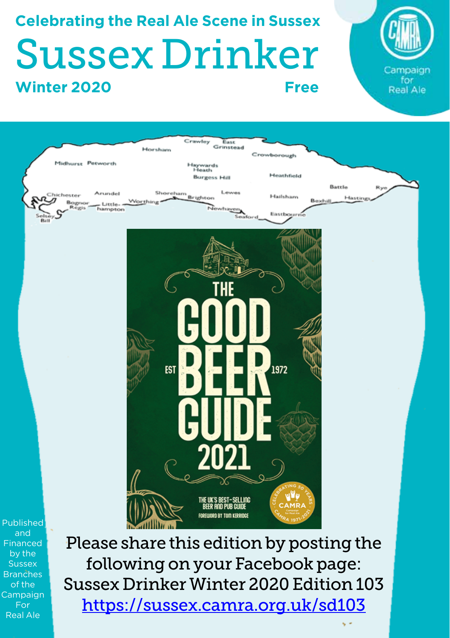# **Celebrating the Real Ale Scene in Sussex** Sussex Drinker **Winter 2020 Free**





Published and Financed by the **Sussex Branches** of the Campaign For Real Ale

Please share this edition by posting the following on your Facebook page: Sussex Drinker Winter 2020 Edition 103 https://sussex.camra.org.uk/sd103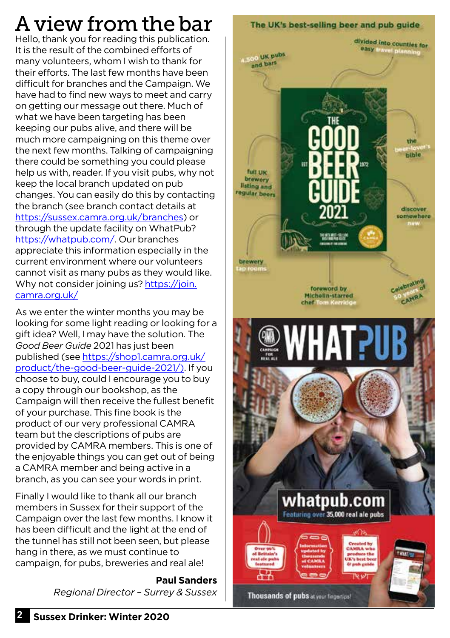# A view from the bar

Hello, thank you for reading this publication. It is the result of the combined efforts of many volunteers, whom I wish to thank for their efforts. The last few months have been difficult for branches and the Campaign. We have had to find new ways to meet and carry on getting our message out there. Much of what we have been targeting has been keeping our pubs alive, and there will be much more campaigning on this theme over the next few months. Talking of campaigning there could be something you could please help us with, reader. If you visit pubs, why not keep the local branch updated on pub changes. You can easily do this by contacting the branch (see branch contact details at https://sussex.camra.org.uk/branches) or through the update facility on WhatPub? https://whatpub.com/. Our branches appreciate this information especially in the current environment where our volunteers cannot visit as many pubs as they would like. Why not consider joining us? https://join. camra.org.uk/

As we enter the winter months you may be looking for some light reading or looking for a gift idea? Well, I may have the solution. The *Good Beer Guide* 2021 has just been published (see https://shop1.camra.org.uk/ product/the-good-beer-guide-2021/). If you choose to buy, could I encourage you to buy a copy through our bookshop, as the Campaign will then receive the fullest benefit of your purchase. This fine book is the product of our very professional CAMRA team but the descriptions of pubs are provided by CAMRA members. This is one of the enjoyable things you can get out of being a CAMRA member and being active in a branch, as you can see your words in print.

Finally I would like to thank all our branch members in Sussex for their support of the Campaign over the last few months. I know it has been difficult and the light at the end of the tunnel has still not been seen, but please hang in there, as we must continue to campaign, for pubs, breweries and real ale!

> **Paul Sanders** *Regional Director – Surrey & Sussex*

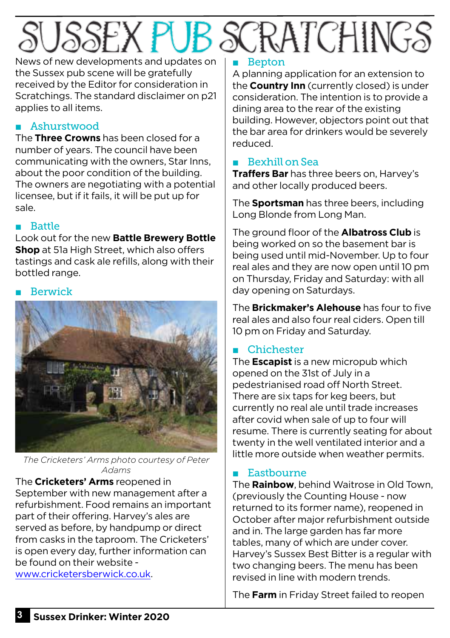# SSEX PUB SCRATCHINGS

News of new developments and updates on the Sussex pub scene will be gratefully received by the Editor for consideration in Scratchings. The standard disclaimer on p21 applies to all items.

## ■ Ashurstwood

The **Three Crowns** has been closed for a number of years. The council have been communicating with the owners, Star Inns, about the poor condition of the building. The owners are negotiating with a potential licensee, but if it fails, it will be put up for sale.

#### ■ Battle

Look out for the new **Battle Brewery Bottle Shop** at 51a High Street, which also offers tastings and cask ale refills, along with their bottled range.

#### **Berwick**



*The Cricketers' Arms photo courtesy of Peter Adams*

The **Cricketers' Arms** reopened in September with new management after a refurbishment. Food remains an important part of their offering. Harvey's ales are served as before, by handpump or direct from casks in the taproom. The Cricketers' is open every day, further information can be found on their website -

www.cricketersberwick.co.uk.

# ■ Bepton

A planning application for an extension to the **Country Inn** (currently closed) is under consideration. The intention is to provide a dining area to the rear of the existing building. However, objectors point out that the bar area for drinkers would be severely reduced.

# ■ Bexhill on Sea

**Traffers Bar** has three beers on, Harvey's and other locally produced beers.

The **Sportsman** has three beers, including Long Blonde from Long Man.

The ground floor of the **Albatross Club** is being worked on so the basement bar is being used until mid-November. Up to four real ales and they are now open until 10 pm on Thursday, Friday and Saturday: with all day opening on Saturdays.

The **Brickmaker's Alehouse** has four to five real ales and also four real ciders. Open till 10 pm on Friday and Saturday.

# ■ Chichester

The **Escapist** is a new micropub which opened on the 31st of July in a pedestrianised road off North Street. There are six taps for keg beers, but currently no real ale until trade increases after covid when sale of up to four will resume. There is currently seating for about twenty in the well ventilated interior and a little more outside when weather permits.

# ■ Eastbourne

The **Rainbow**, behind Waitrose in Old Town, (previously the Counting House - now returned to its former name), reopened in October after major refurbishment outside and in. The large garden has far more tables, many of which are under cover. Harvey's Sussex Best Bitter is a regular with two changing beers. The menu has been revised in line with modern trends.

The **Farm** in Friday Street failed to reopen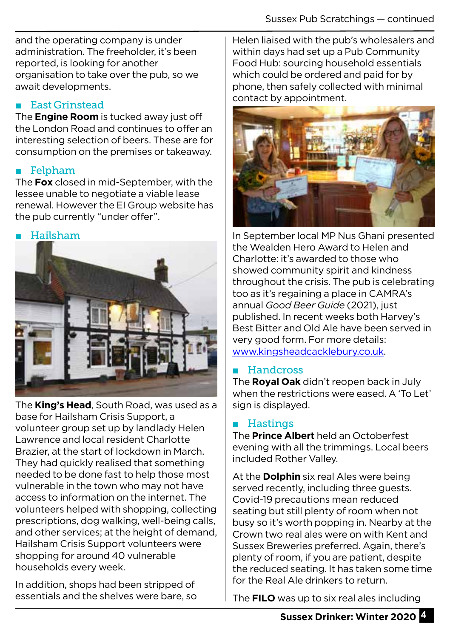and the operating company is under administration. The freeholder, it's been reported, is looking for another organisation to take over the pub, so we await developments.

#### ■ East Grinstead

The **Engine Room** is tucked away just off the London Road and continues to offer an interesting selection of beers. These are for consumption on the premises or takeaway.

### **Felpham**

The **Fox** closed in mid-September, with the lessee unable to negotiate a viable lease renewal. However the EI Group website has the pub currently "under offer".

#### **Hailsham**



The **King's Head**, South Road, was used as a base for Hailsham Crisis Support, a volunteer group set up by landlady Helen Lawrence and local resident Charlotte Brazier, at the start of lockdown in March. They had quickly realised that something needed to be done fast to help those most vulnerable in the town who may not have access to information on the internet. The volunteers helped with shopping, collecting prescriptions, dog walking, well-being calls, and other services; at the height of demand, Hailsham Crisis Support volunteers were shopping for around 40 vulnerable households every week.

In addition, shops had been stripped of essentials and the shelves were bare, so Helen liaised with the pub's wholesalers and within days had set up a Pub Community Food Hub: sourcing household essentials which could be ordered and paid for by phone, then safely collected with minimal contact by appointment.



In September local MP Nus Ghani presented the Wealden Hero Award to Helen and Charlotte: it's awarded to those who showed community spirit and kindness throughout the crisis. The pub is celebrating too as it's regaining a place in CAMRA's annual *Good Beer Guide* (2021), just published. In recent weeks both Harvey's Best Bitter and Old Ale have been served in very good form. For more details: www.kingsheadcacklebury.co.uk.

#### ■ Handcross

The **Royal Oak** didn't reopen back in July when the restrictions were eased. A 'To Let' sign is displayed.

### ■ Hastings

The **Prince Albert** held an Octoberfest evening with all the trimmings. Local beers included Rother Valley.

At the **Dolphin** six real Ales were being served recently, including three guests. Covid-19 precautions mean reduced seating but still plenty of room when not busy so it's worth popping in. Nearby at the Crown two real ales were on with Kent and Sussex Breweries preferred. Again, there's plenty of room, if you are patient, despite the reduced seating. It has taken some time for the Real Ale drinkers to return.

The **FILO** was up to six real ales including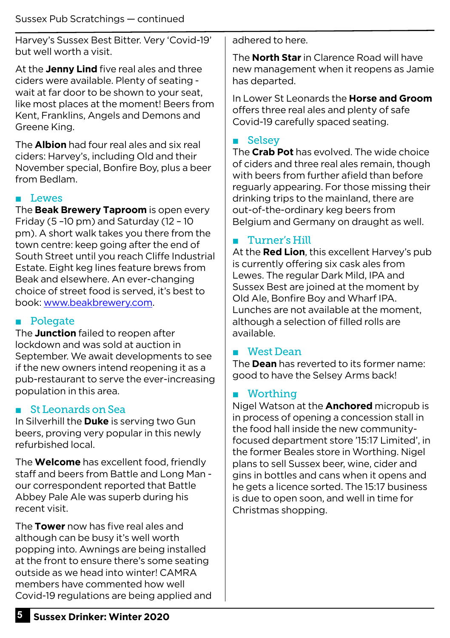Harvey's Sussex Best Bitter. Very 'Covid-19' but well worth a visit.

At the **Jenny Lind** five real ales and three ciders were available. Plenty of seating wait at far door to be shown to your seat, like most places at the moment! Beers from Kent, Franklins, Angels and Demons and Greene King.

The **Albion** had four real ales and six real ciders: Harvey's, including Old and their November special, Bonfire Boy, plus a beer from Bedlam.

#### ■ Lewes

The **Beak Brewery Taproom** is open every Friday (5 –10 pm) and Saturday (12 – 10 pm). A short walk takes you there from the town centre: keep going after the end of South Street until you reach Cliffe Industrial Estate. Eight keg lines feature brews from Beak and elsewhere. An ever-changing choice of street food is served, it's best to book: www.beakbrewery.com.

#### ■ Polegate

The **Junction** failed to reopen after lockdown and was sold at auction in September. We await developments to see if the new owners intend reopening it as a pub-restaurant to serve the ever-increasing population in this area.

#### St Leonards on Sea

In Silverhill the **Duke** is serving two Gun beers, proving very popular in this newly refurbished local.

The **Welcome** has excellent food, friendly staff and beers from Battle and Long Man our correspondent reported that Battle Abbey Pale Ale was superb during his recent visit.

The **Tower** now has five real ales and although can be busy it's well worth popping into. Awnings are being installed at the front to ensure there's some seating outside as we head into winter! CAMRA members have commented how well Covid-19 regulations are being applied and adhered to here.

The **North Star** in Clarence Road will have new management when it reopens as Jamie has departed.

In Lower St Leonards the **Horse and Groom** offers three real ales and plenty of safe Covid-19 carefully spaced seating.

#### ■ Selsey

The **Crab Pot** has evolved. The wide choice of ciders and three real ales remain, though with beers from further afield than before reguarly appearing. For those missing their drinking trips to the mainland, there are out-of-the-ordinary keg beers from Belgium and Germany on draught as well.

#### ■ Turner's Hill

At the **Red Lion**, this excellent Harvey's pub is currently offering six cask ales from Lewes. The regular Dark Mild, IPA and Sussex Best are joined at the moment by Old Ale, Bonfire Boy and Wharf IPA. Lunches are not available at the moment, although a selection of filled rolls are available.

#### ■ West Dean

The **Dean** has reverted to its former name: good to have the Selsey Arms back!

#### ■ Worthing

Nigel Watson at the **Anchored** micropub is in process of opening a concession stall in the food hall inside the new communityfocused department store '15:17 Limited', in the former Beales store in Worthing. Nigel plans to sell Sussex beer, wine, cider and gins in bottles and cans when it opens and he gets a licence sorted. The 15:17 business is due to open soon, and well in time for Christmas shopping.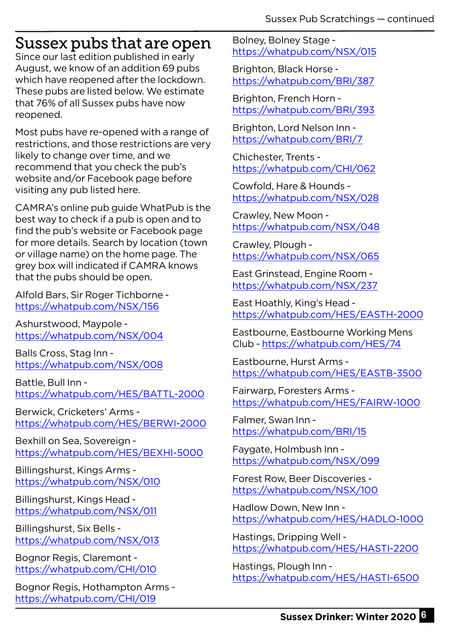# Sussex pubs that are open

Since our last edition published in early August, we know of an addition 69 pubs which have reopened after the lockdown. These pubs are listed below. We estimate that 76% of all Sussex pubs have now reopened.

Most pubs have re-opened with a range of restrictions, and those restrictions are very likely to change over time, and we recommend that you check the pub's website and/or Facebook page before visiting any pub listed here.

CAMRA's online pub guide WhatPub is the best way to check if a pub is open and to find the pub's website or Facebook page for more details. Search by location (town or village name) on the home page. The grey box will indicated if CAMRA knows that the pubs should be open.

Alfold Bars, Sir Roger Tichborne https://whatpub.com/NSX/156

Ashurstwood, Maypole https://whatpub.com/NSX/004

Balls Cross, Stag Inn https://whatpub.com/NSX/008

Battle, Bull Inn https://whatpub.com/HES/BATTL-2000

Berwick, Cricketers' Arms https://whatpub.com/HES/BERWI-2000

Bexhill on Sea, Sovereign https://whatpub.com/HES/BEXHI-5000

Billingshurst, Kings Arms https://whatpub.com/NSX/010

Billingshurst, Kings Head https://whatpub.com/NSX/011

Billingshurst, Six Bells https://whatpub.com/NSX/013

Bognor Regis, Claremont https://whatpub.com/CHI/010

Bognor Regis, Hothampton Arms https://whatpub.com/CHI/019

Bolney, Bolney Stage https://whatpub.com/NSX/015

Brighton, Black Horse https://whatpub.com/BRI/387

Brighton, French Horn https://whatpub.com/BRI/393

Brighton, Lord Nelson Inn https://whatpub.com/BRI/7

Chichester, Trents https://whatpub.com/CHI/062

Cowfold, Hare & Hounds https://whatpub.com/NSX/028

Crawley, New Moon https://whatpub.com/NSX/048

Crawley, Plough https://whatpub.com/NSX/065

East Grinstead, Engine Room https://whatpub.com/NSX/237

East Hoathly, King's Head https://whatpub.com/HES/EASTH-2000

Eastbourne, Eastbourne Working Mens Club - https://whatpub.com/HES/74

Eastbourne, Hurst Arms https://whatpub.com/HES/EASTB-3500

Fairwarp, Foresters Arms https://whatpub.com/HES/FAIRW-1000

Falmer, Swan Inn https://whatpub.com/BRI/15

Faygate, Holmbush Inn https://whatpub.com/NSX/099

Forest Row, Beer Discoveries https://whatpub.com/NSX/100

Hadlow Down, New Inn https://whatpub.com/HES/HADLO-1000

Hastings, Dripping Well https://whatpub.com/HES/HASTI-2200

Hastings, Plough Inn https://whatpub.com/HES/HASTI-6500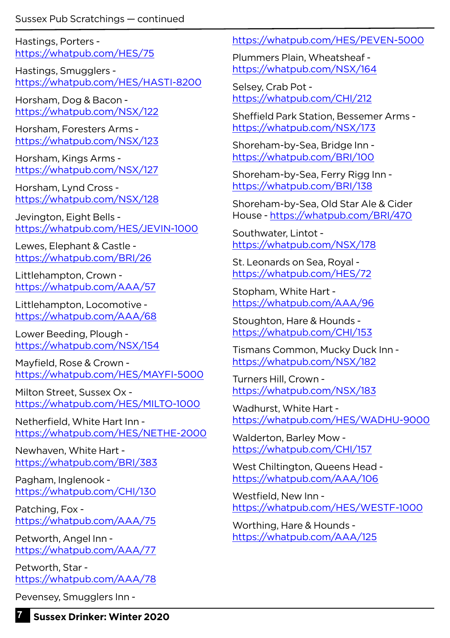Hastings, Porters https://whatpub.com/HES/75

Hastings, Smugglers https://whatpub.com/HES/HASTI-8200

Horsham, Dog & Bacon https://whatpub.com/NSX/122

Horsham, Foresters Arms https://whatpub.com/NSX/123

Horsham, Kings Arms https://whatpub.com/NSX/127

Horsham, Lynd Cross https://whatpub.com/NSX/128

Jevington, Eight Bells https://whatpub.com/HES/JEVIN-1000

Lewes, Elephant & Castle https://whatpub.com/BRI/26

Littlehampton, Crown https://whatpub.com/AAA/57

Littlehampton, Locomotive https://whatpub.com/AAA/68

Lower Beeding, Plough https://whatpub.com/NSX/154

Mayfield, Rose & Crown https://whatpub.com/HES/MAYFI-5000

Milton Street, Sussex Ox https://whatpub.com/HES/MILTO-1000

Netherfield, White Hart Inn https://whatpub.com/HES/NETHE-2000

Newhaven, White Hart https://whatpub.com/BRI/383

Pagham, Inglenook https://whatpub.com/CHI/130

Patching, Fox https://whatpub.com/AAA/75

Petworth, Angel Inn https://whatpub.com/AAA/77

Petworth, Star https://whatpub.com/AAA/78

Pevensey, Smugglers Inn -

https://whatpub.com/HES/PEVEN-5000

Plummers Plain, Wheatsheaf https://whatpub.com/NSX/164

Selsey, Crab Pot https://whatpub.com/CHI/212

Sheffield Park Station, Bessemer Arms https://whatpub.com/NSX/173

Shoreham-by-Sea, Bridge Inn https://whatpub.com/BRI/100

Shoreham-by-Sea, Ferry Rigg Inn https://whatpub.com/BRI/138

Shoreham-by-Sea, Old Star Ale & Cider House - https://whatpub.com/BRI/470

Southwater, Lintot https://whatpub.com/NSX/178

St. Leonards on Sea, Royal https://whatpub.com/HES/72

Stopham, White Hart https://whatpub.com/AAA/96

Stoughton, Hare & Hounds https://whatpub.com/CHI/153

Tismans Common, Mucky Duck Inn https://whatpub.com/NSX/182

Turners Hill, Crown https://whatpub.com/NSX/183

Wadhurst, White Hart https://whatpub.com/HES/WADHU-9000

Walderton, Barley Mow https://whatpub.com/CHI/157

West Chiltington, Queens Head https://whatpub.com/AAA/106

Westfield, New Inn https://whatpub.com/HES/WESTF-1000

Worthing, Hare & Hounds https://whatpub.com/AAA/125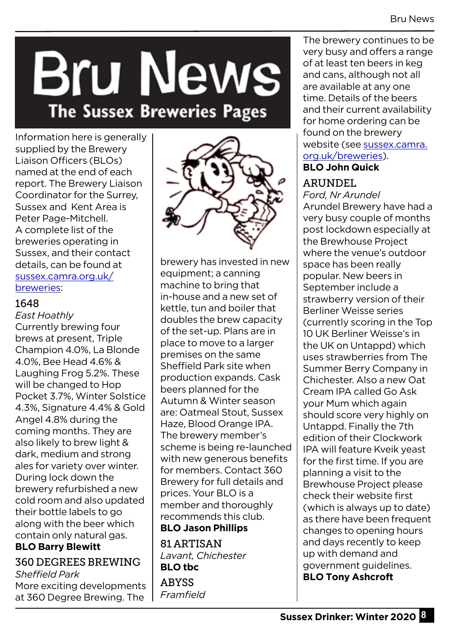# **Bru News** The Sussex Breweries Pages

Information here is generally supplied by the Brewery Liaison Officers (BLOs) named at the end of each report. The Brewery Liaison Coordinator for the Surrey, Sussex and Kent Area is Peter Page-Mitchell. A complete list of the breweries operating in Sussex, and their contact details, can be found at sussex.camra.org.uk/ breweries:

#### 1648

#### *East Hoathly*

Currently brewing four brews at present, Triple Champion 4.0%, La Blonde 4.0%, Bee Head 4.6% & Laughing Frog 5.2%. These will be changed to Hop Pocket 3.7%, Winter Solstice 4.3%, Signature 4.4% & Gold Angel 4.8% during the coming months. They are also likely to brew light & dark, medium and strong ales for variety over winter. During lock down the brewery refurbished a new cold room and also updated their bottle labels to go along with the beer which contain only natural gas.

#### **BLO Barry Blewitt**

# 360 DEGREES BREWING *Sheffield Park*

More exciting developments at 360 Degree Brewing. The



brewery has invested in new equipment; a canning machine to bring that in-house and a new set of kettle, tun and boiler that doubles the brew capacity of the set-up. Plans are in place to move to a larger premises on the same Sheffield Park site when production expands. Cask beers planned for the Autumn & Winter season are: Oatmeal Stout, Sussex Haze, Blood Orange IPA. The brewery member's scheme is being re-launched with new generous benefits for members. Contact 360 Brewery for full details and prices. Your BLO is a member and thoroughly recommends this club. **BLO Jason Phillips**

81 ARTISAN *Lavant, Chichester*  **BLO tbc**

**ABYSS** *Framfield* 

The brewery continues to be very busy and offers a range of at least ten beers in keg and cans, although not all are available at any one time. Details of the beers and their current availability for home ordering can be found on the brewery website (see sussex.camra. org.uk/breweries).

# **BLO John Quick**

# ARUNDEL

*Ford, Nr Arundel*  Arundel Brewery have had a very busy couple of months post lockdown especially at the Brewhouse Project where the venue's outdoor space has been really popular. New beers in September include a strawberry version of their Berliner Weisse series (currently scoring in the Top 10 UK Berliner Weisse's in the UK on Untappd) which uses strawberries from The Summer Berry Company in Chichester. Also a new Oat Cream IPA called Go Ask your Mum which again should score very highly on Untappd. Finally the 7th edition of their Clockwork IPA will feature Kveik yeast for the first time. If you are planning a visit to the Brewhouse Project please check their website first (which is always up to date) as there have been frequent changes to opening hours and days recently to keep up with demand and government guidelines. **BLO Tony Ashcroft**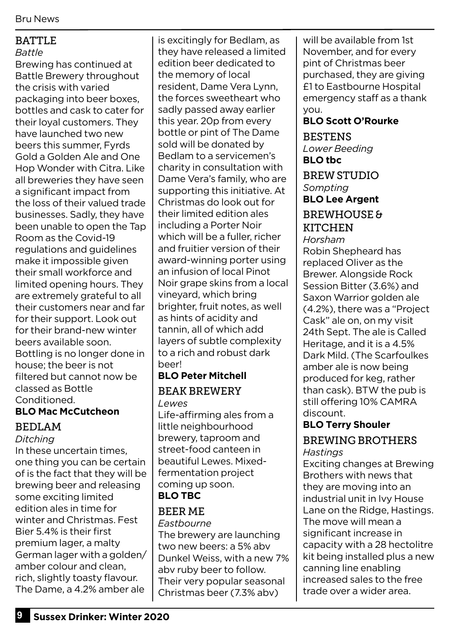#### BATTLE

#### *Battle*

Brewing has continued at Battle Brewery throughout the crisis with varied packaging into beer boxes, bottles and cask to cater for their loyal customers. They have launched two new beers this summer, Fyrds Gold a Golden Ale and One Hop Wonder with Citra. Like all breweries they have seen a significant impact from the loss of their valued trade businesses. Sadly, they have been unable to open the Tap Room as the Covid-19 regulations and guidelines make it impossible given their small workforce and limited opening hours. They are extremely grateful to all their customers near and far for their support. Look out for their brand-new winter beers available soon. Bottling is no longer done in house; the beer is not filtered but cannot now be classed as Bottle **Conditioned** 

#### **BLO Mac McCutcheon**

#### BEDLAM

#### *Ditching*

In these uncertain times, one thing you can be certain of is the fact that they will be brewing beer and releasing some exciting limited edition ales in time for winter and Christmas. Fest Bier 5.4% is their first premium lager, a malty German lager with a golden/ amber colour and clean, rich, slightly toasty flavour. The Dame, a 4.2% amber ale

is excitingly for Bedlam, as they have released a limited edition beer dedicated to the memory of local resident, Dame Vera Lynn, the forces sweetheart who sadly passed away earlier this year. 20p from every bottle or pint of The Dame sold will be donated by Bedlam to a servicemen's charity in consultation with Dame Vera's family, who are supporting this initiative. At Christmas do look out for their limited edition ales including a Porter Noir which will be a fuller, richer and fruitier version of their award-winning porter using an infusion of local Pinot Noir grape skins from a local vineyard, which bring brighter, fruit notes, as well as hints of acidity and tannin, all of which add layers of subtle complexity to a rich and robust dark **heer!** 

#### **BLO Peter Mitchell** BEAK BREWERY *Lewes*

Life-affirming ales from a little neighbourhood brewery, taproom and street-food canteen in beautiful Lewes. Mixedfermentation project coming up soon. **BLO TBC**

#### BEER ME

*Eastbourne*  The brewery are launching two new beers: a 5% abv Dunkel Weiss, with a new 7% abv ruby beer to follow. Their very popular seasonal Christmas beer (7.3% abv)

will be available from 1st November, and for every pint of Christmas beer purchased, they are giving £1 to Eastbourne Hospital emergency staff as a thank you.

#### **BLO Scott O'Rourke**

**BESTENS** *Lower Beeding*  **BLO tbc** BREW STUDIO *Sompting* **BLO Lee Argent** BREWHOUSE & **KITCHEN** *Horsham* Robin Shepheard has

replaced Oliver as the Brewer. Alongside Rock Session Bitter (3.6%) and Saxon Warrior golden ale (4.2%), there was a "Project Cask" ale on, on my visit 24th Sept. The ale is Called Heritage, and it is a 4.5% Dark Mild. (The Scarfoulkes amber ale is now being produced for keg, rather than cask). BTW the pub is still offering 10% CAMRA discount.

# **BLO Terry Shouler**

#### BREWING BROTHERS *Hastings*

Exciting changes at Brewing Brothers with news that they are moving into an industrial unit in Ivy House Lane on the Ridge, Hastings. The move will mean a significant increase in capacity with a 28 hectolitre kit being installed plus a new canning line enabling increased sales to the free trade over a wider area.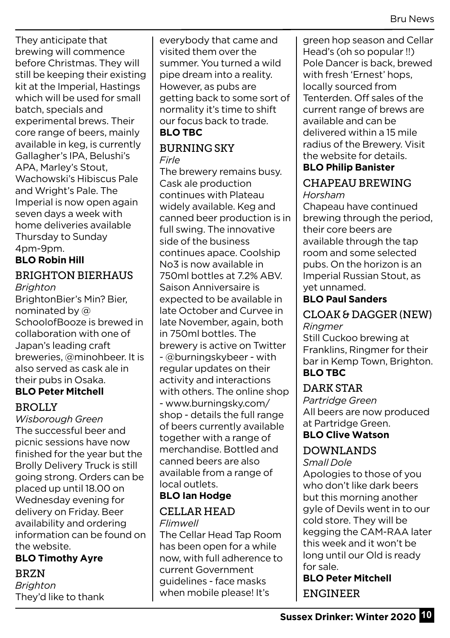They anticipate that brewing will commence before Christmas. They will still be keeping their existing kit at the Imperial, Hastings which will be used for small batch, specials and experimental brews. Their core range of beers, mainly available in keg, is currently Gallagher's IPA, Belushi's APA, Marley's Stout, Wachowski's Hibiscus Pale and Wright's Pale. The Imperial is now open again seven days a week with home deliveries available Thursday to Sunday 4pm-9pm.

# **BLO Robin Hill**

#### BRIGHTON BIERHAUS *Brighton*

BrightonBier's Min? Bier, nominated by @ SchoolofBooze is brewed in collaboration with one of Japan's leading craft breweries, @minohbeer. It is also served as cask ale in their pubs in Osaka.

#### **BLO Peter Mitchell** BROLLY

*Wisborough Green* The successful beer and picnic sessions have now finished for the year but the Brolly Delivery Truck is still going strong. Orders can be placed up until 18.00 on Wednesday evening for delivery on Friday. Beer availability and ordering information can be found on the website.

#### **BLO Timothy Ayre**

BRZN *Brighton* They'd like to thank everybody that came and visited them over the summer. You turned a wild pipe dream into a reality. However, as pubs are getting back to some sort of normality it's time to shift our focus back to trade. **BLO TBC**

#### BURNING SKY *Firle*

The brewery remains busy. Cask ale production continues with Plateau widely available. Keg and canned beer production is in full swing. The innovative side of the business continues apace. Coolship No3 is now available in 750ml bottles at 7.2% ABV. Saison Anniversaire is expected to be available in late October and Curvee in late November, again, both in 750ml bottles. The brewery is active on Twitter - @burningskybeer - with regular updates on their activity and interactions with others. The online shop - www.burningsky.com/ shop - details the full range of beers currently available together with a range of merchandise. Bottled and canned beers are also available from a range of local outlets.

#### **BLO Ian Hodge**

# CELLAR HEAD

*Flimwell*  The Cellar Head Tap Room has been open for a while now, with full adherence to current Government

guidelines - face masks when mobile please! It's green hop season and Cellar Head's (oh so popular !!) Pole Dancer is back, brewed with fresh 'Ernest' hops, locally sourced from Tenterden. Off sales of the current range of brews are available and can be delivered within a 15 mile radius of the Brewery. Visit the website for details.

#### **BLO Philip Banister** CHAPEAU BREWING

*Horsham*

Chapeau have continued brewing through the period, their core beers are available through the tap room and some selected pubs. On the horizon is an Imperial Russian Stout, as yet unnamed.

#### **BLO Paul Sanders**

## CLOAK & DAGGER (NEW)

*Ringmer*

Still Cuckoo brewing at Franklins, Ringmer for their bar in Kemp Town, Brighton. **BLO TBC**

#### DARK STAR

*Partridge Green* All beers are now produced at Partridge Green.

## **BLO Clive Watson**

#### DOWNLANDS

*Small Dole* 

Apologies to those of you who don't like dark beers but this morning another gyle of Devils went in to our cold store. They will be kegging the CAM-RAA later this week and it won't be long until our Old is ready for sale.

**BLO Peter Mitchell** ENGINEER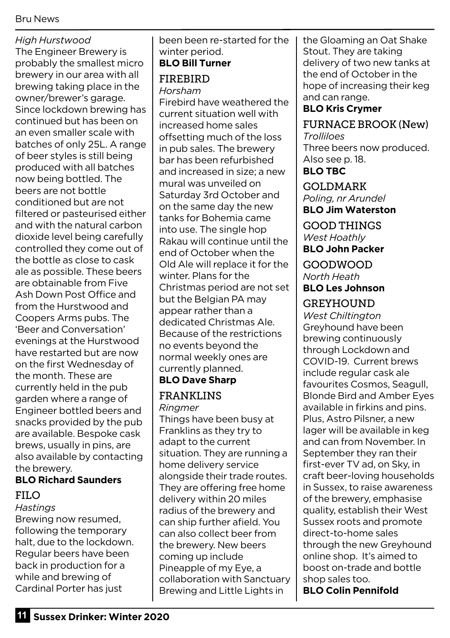#### Bru News

#### *High Hurstwood*

The Engineer Brewery is probably the smallest micro brewery in our area with all brewing taking place in the owner/brewer's garage. Since lockdown brewing has continued but has been on an even smaller scale with batches of only 25L. A range of beer styles is still being produced with all batches now being bottled. The beers are not bottle conditioned but are not filtered or pasteurised either and with the natural carbon dioxide level being carefully controlled they come out of the bottle as close to cask ale as possible. These beers are obtainable from Five Ash Down Post Office and from the Hurstwood and Coopers Arms pubs. The 'Beer and Conversation' evenings at the Hurstwood have restarted but are now on the first Wednesday of the month. These are currently held in the pub garden where a range of Engineer bottled beers and snacks provided by the pub are available. Bespoke cask brews, usually in pins, are also available by contacting the brewery.

# **BLO Richard Saunders**

## FILO

*Hastings* Brewing now resumed, following the temporary halt, due to the lockdown. Regular beers have been back in production for a while and brewing of Cardinal Porter has just

been been re-started for the winter period.

### **BLO Bill Turner**

#### FIREBIRD *Horsham*

Firebird have weathered the current situation well with increased home sales offsetting much of the loss in pub sales. The brewery bar has been refurbished and increased in size; a new mural was unveiled on Saturday 3rd October and on the same day the new tanks for Bohemia came into use. The single hop Rakau will continue until the end of October when the Old Ale will replace it for the winter. Plans for the Christmas period are not set but the Belgian PA may appear rather than a dedicated Christmas Ale. Because of the restrictions no events beyond the normal weekly ones are currently planned. **BLO Dave Sharp**

#### FRANKLINS *Ringmer*

Things have been busy at Franklins as they try to adapt to the current situation. They are running a home delivery service alongside their trade routes. They are offering free home delivery within 20 miles radius of the brewery and can ship further afield. You can also collect beer from the brewery. New beers coming up include Pineapple of my Eye, a collaboration with Sanctuary Brewing and Little Lights in

the Gloaming an Oat Shake Stout. They are taking delivery of two new tanks at the end of October in the hope of increasing their keg and can range.

#### **BLO Kris Crymer**

#### FURNACE BROOK (New) *Trolliloes*

Three beers now produced. Also see p. 18. **BLO TBC**

GOLDMARK *Poling, nr Arundel*

#### **BLO Jim Waterston**

GOOD THINGS *West Hoathly* **BLO John Packer**

GOODWOOD *North Heath*

#### **BLO Les Johnson**

#### GREYHOUND

*West Chiltington* Greyhound have been brewing continuously through Lockdown and COVID-19. Current brews include regular cask ale favourites Cosmos, Seagull, Blonde Bird and Amber Eyes available in firkins and pins. Plus, Astro Pilsner, a new lager will be available in keg and can from November. In September they ran their first-ever TV ad, on Sky, in craft beer-loving households in Sussex, to raise awareness of the brewery, emphasise quality, establish their West Sussex roots and promote direct-to-home sales through the new Greyhound online shop. It's aimed to boost on-trade and bottle shop sales too. **BLO Colin Pennifold**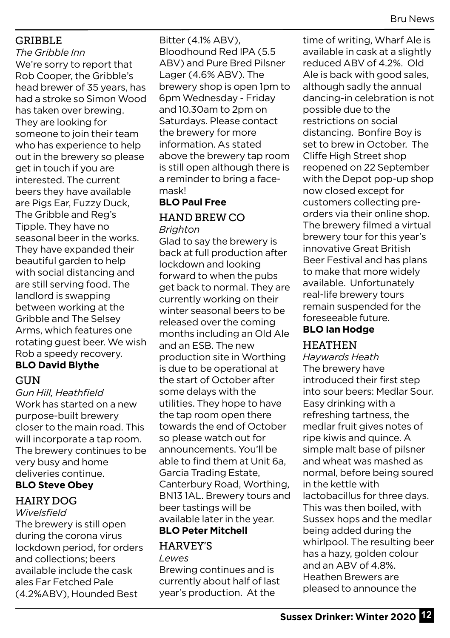#### GRIBBLE

*The Gribble Inn* We're sorry to report that Rob Cooper, the Gribble's head brewer of 35 years, has had a stroke so Simon Wood has taken over brewing. They are looking for someone to join their team who has experience to help out in the brewery so please get in touch if you are interested. The current beers they have available are Pigs Ear, Fuzzy Duck, The Gribble and Reg's Tipple. They have no seasonal beer in the works. They have expanded their beautiful garden to help with social distancing and are still serving food. The landlord is swapping between working at the Gribble and The Selsey Arms, which features one rotating guest beer. We wish Rob a speedy recovery.

## **BLO David Blythe**

#### GUN

*Gun Hill, Heathfield* Work has started on a new purpose-built brewery closer to the main road. This will incorporate a tap room. The brewery continues to be very busy and home deliveries continue. **BLO Steve Obey**

# HAIRY DOG

#### *Wivelsfield*

The brewery is still open during the corona virus lockdown period, for orders and collections; beers available include the cask ales Far Fetched Pale (4.2%ABV), Hounded Best

Bitter (4.1% ABV), Bloodhound Red IPA (5.5 ABV) and Pure Bred Pilsner Lager (4.6% ABV). The brewery shop is open 1pm to 6pm Wednesday - Friday and 10.30am to 2pm on Saturdays. Please contact the brewery for more information. As stated above the brewery tap room is still open although there is a reminder to bring a facemask!

# **BLO Paul Free** HAND BREW CO

*Brighton*

Glad to say the brewery is back at full production after lockdown and looking forward to when the pubs get back to normal. They are currently working on their winter seasonal beers to be released over the coming months including an Old Ale and an ESB. The new production site in Worthing is due to be operational at the start of October after some delays with the utilities. They hope to have the tap room open there towards the end of October so please watch out for announcements. You'll be able to find them at Unit 6a, Garcia Trading Estate, Canterbury Road, Worthing, BN13 1AL. Brewery tours and beer tastings will be available later in the year.

#### **BLO Peter Mitchell** HARVEY'S *Lewes*

Brewing continues and is currently about half of last year's production. At the

time of writing, Wharf Ale is available in cask at a slightly reduced ABV of 4.2%. Old Ale is back with good sales, although sadly the annual dancing-in celebration is not possible due to the restrictions on social distancing. Bonfire Boy is set to brew in October. The Cliffe High Street shop reopened on 22 September with the Depot pop-up shop now closed except for customers collecting preorders via their online shop. The brewery filmed a virtual brewery tour for this year's innovative Great British Beer Festival and has plans to make that more widely available. Unfortunately real-life brewery tours remain suspended for the foreseeable future.

#### **BLO Ian Hodge**

#### HEATHEN

*Haywards Heath* The brewery have introduced their first step into sour beers: Medlar Sour. Easy drinking with a refreshing tartness, the medlar fruit gives notes of ripe kiwis and quince. A simple malt base of pilsner and wheat was mashed as normal, before being soured in the kettle with lactobacillus for three days. This was then boiled, with Sussex hops and the medlar being added during the whirlpool. The resulting beer has a hazy, golden colour and an ABV of 4.8%. Heathen Brewers are pleased to announce the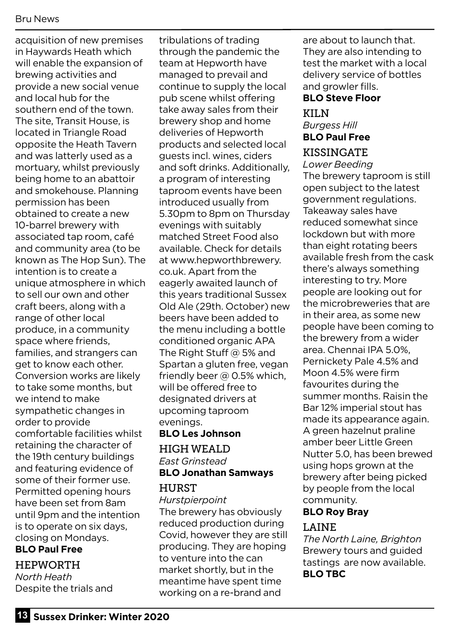acquisition of new premises in Haywards Heath which will enable the expansion of brewing activities and provide a new social venue and local hub for the southern end of the town. The site, Transit House, is located in Triangle Road opposite the Heath Tavern and was latterly used as a mortuary, whilst previously being home to an abattoir and smokehouse. Planning permission has been obtained to create a new 10-barrel brewery with associated tap room, café and community area (to be known as The Hop Sun). The intention is to create a unique atmosphere in which to sell our own and other craft beers, along with a range of other local produce, in a community space where friends, families, and strangers can get to know each other. Conversion works are likely to take some months, but we intend to make sympathetic changes in order to provide comfortable facilities whilst retaining the character of the 19th century buildings and featuring evidence of some of their former use. Permitted opening hours have been set from 8am until 9pm and the intention is to operate on six days, closing on Mondays.

### **BLO Paul Free**

HEPWORTH *North Heath*

Despite the trials and

tribulations of trading through the pandemic the team at Hepworth have managed to prevail and continue to supply the local pub scene whilst offering take away sales from their brewery shop and home deliveries of Hepworth products and selected local guests incl. wines, ciders and soft drinks. Additionally, a program of interesting taproom events have been introduced usually from 5.30pm to 8pm on Thursday evenings with suitably matched Street Food also available. Check for details at www.hepworthbrewery. co.uk. Apart from the eagerly awaited launch of this years traditional Sussex Old Ale (29th. October) new beers have been added to the menu including a bottle conditioned organic APA The Right Stuff @ 5% and Spartan a gluten free, vegan friendly beer @ 0.5% which, will be offered free to designated drivers at upcoming taproom evenings.

# **BLO Les Johnson**

#### HIGH WEALD *East Grinstead* **BLO Jonathan Samways HURST**

#### *Hurstpierpoint*

The brewery has obviously reduced production during Covid, however they are still producing. They are hoping to venture into the can market shortly, but in the meantime have spent time working on a re-brand and

are about to launch that. They are also intending to test the market with a local delivery service of bottles and growler fills.

#### **BLO Steve Floor**

#### KILN *Burgess Hill*  **BLO Paul Free**

### KISSINGATE

#### *Lower Beeding*

The brewery taproom is still open subject to the latest government regulations. Takeaway sales have reduced somewhat since lockdown but with more than eight rotating beers available fresh from the cask there's always something interesting to try. More people are looking out for the microbreweries that are in their area, as some new people have been coming to the brewery from a wider area. Chennai IPA 5.0%, Pernickety Pale 4.5% and Moon 4.5% were firm favourites during the summer months. Raisin the Bar 12% imperial stout has made its appearance again. A green hazelnut praline amber beer Little Green Nutter 5.0, has been brewed using hops grown at the brewery after being picked by people from the local community.

### **BLO Roy Bray**

#### LAINE

*The North Laine, Brighton* Brewery tours and guided tastings are now available. **BLO TBC**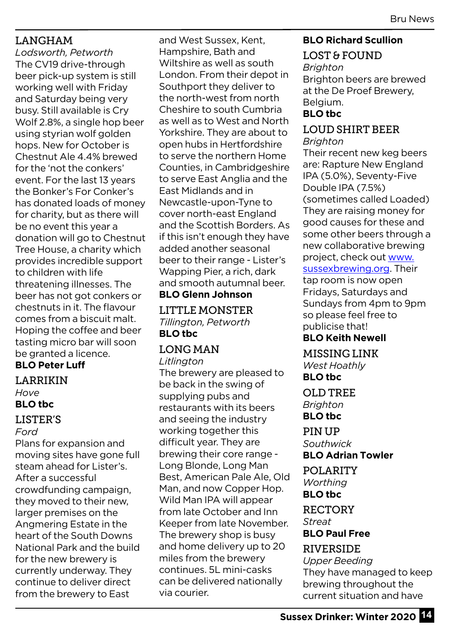#### LANGHAM

*Lodsworth, Petworth* The CV19 drive-through beer pick-up system is still working well with Friday and Saturday being very busy. Still available is Cry Wolf 2.8%, a single hop beer using styrian wolf golden hops. New for October is Chestnut Ale 4.4% brewed for the 'not the conkers' event. For the last 13 years the Bonker's For Conker's has donated loads of money for charity, but as there will be no event this year a donation will go to Chestnut Tree House, a charity which provides incredible support to children with life threatening illnesses. The beer has not got conkers or chestnuts in it. The flavour comes from a biscuit malt. Hoping the coffee and beer tasting micro bar will soon be granted a licence.

**BLO Peter Luff** 

#### LARRIKIN *Hove* **BLO tbc**

#### LISTER'S

*Ford*

Plans for expansion and moving sites have gone full steam ahead for Lister's. After a successful crowdfunding campaign, they moved to their new, larger premises on the Angmering Estate in the heart of the South Downs National Park and the build for the new brewery is currently underway. They continue to deliver direct from the brewery to East

and West Sussex, Kent, Hampshire, Bath and Wiltshire as well as south London. From their depot in Southport they deliver to the north-west from north Cheshire to south Cumbria as well as to West and North Yorkshire. They are about to open hubs in Hertfordshire to serve the northern Home Counties, in Cambridgeshire to serve East Anglia and the East Midlands and in Newcastle-upon-Tyne to cover north-east England and the Scottish Borders. As if this isn't enough they have added another seasonal beer to their range - Lister's Wapping Pier, a rich, dark and smooth autumnal beer. **BLO Glenn Johnson**

LITTLE MONSTER *Tillington, Petworth* **BLO tbc**

# LONG MAN

*Litlington*

The brewery are pleased to be back in the swing of supplying pubs and restaurants with its beers and seeing the industry working together this difficult year. They are brewing their core range - Long Blonde, Long Man Best, American Pale Ale, Old Man, and now Copper Hop. Wild Man IPA will appear from late October and Inn Keeper from late November. The brewery shop is busy and home delivery up to 20 miles from the brewery continues. 5L mini-casks can be delivered nationally via courier.

#### **BLO Richard Scullion**

# LOST & FOUND

*Brighton* Brighton beers are brewed at the De Proef Brewery, Belgium. **BLO tbc**

# LOUD SHIRT BEER

#### *Brighton*

Their recent new keg beers are: Rapture New England IPA (5.0%), Seventy-Five Double IPA (7.5%) (sometimes called Loaded) They are raising money for good causes for these and some other beers through a new collaborative brewing project, check out www. sussexbrewing.org. Their tap room is now open Fridays, Saturdays and Sundays from 4pm to 9pm so please feel free to publicise that! **BLO Keith Newell**

MISSING LINK *West Hoathly* **BLO tbc**

OLD TREE *Brighton* **BLO tbc**

#### PIN UP *Southwick* **BLO Adrian Towler**

POLARITY

*Worthing*  **BLO tbc**

RECTORY *Streat* **BLO Paul Free**

#### RIVERSIDE

*Upper Beeding* They have managed to keep brewing throughout the current situation and have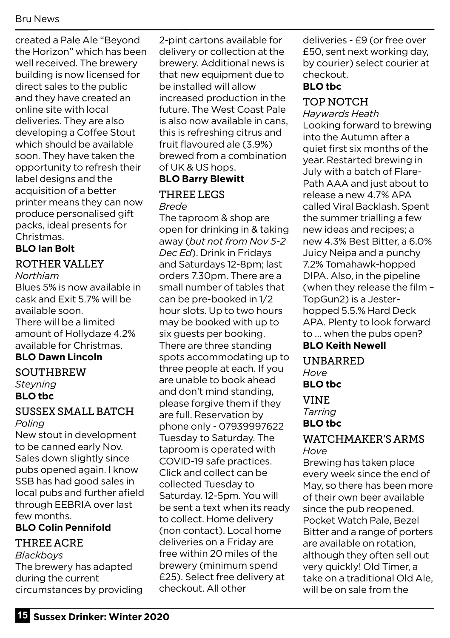created a Pale Ale "Beyond the Horizon" which has been well received. The brewery building is now licensed for direct sales to the public and they have created an online site with local deliveries. They are also developing a Coffee Stout which should be available soon. They have taken the opportunity to refresh their label designs and the acquisition of a better printer means they can now produce personalised gift packs, ideal presents for Christmas.

#### **BLO Ian Bolt**

#### ROTHER VALLEY

*Northiam* 

Blues 5% is now available in cask and Exit 5.7% will be available soon. There will be a limited amount of Hollydaze 4.2% available for Christmas.

#### **BLO Dawn Lincoln**

**SOUTHBREW** *Steyning* **BLO tbc**

#### SUSSEX SMALL BATCH *Poling*

New stout in development to be canned early Nov. Sales down slightly since pubs opened again. I know SSB has had good sales in local pubs and further afield through EEBRIA over last few months.

#### **BLO Colin Pennifold**

#### THREE ACRE

*Blackboys* The brewery has adapted during the current circumstances by providing 2-pint cartons available for delivery or collection at the brewery. Additional news is that new equipment due to be installed will allow increased production in the future. The West Coast Pale is also now available in cans, this is refreshing citrus and fruit flavoured ale (3.9%) brewed from a combination of UK & US hops.

#### **BLO Barry Blewitt**

#### THREE LEGS *Brede*

The taproom & shop are open for drinking in & taking away (*but not from Nov 5-2 Dec Ed*). Drink in Fridays and Saturdays 12-8pm; last orders 7.30pm. There are a small number of tables that can be pre-booked in 1/2 hour slots. Up to two hours may be booked with up to six guests per booking. There are three standing spots accommodating up to three people at each. If you are unable to book ahead and don't mind standing, please forgive them if they are full. Reservation by phone only - 07939997622 Tuesday to Saturday. The taproom is operated with COVID-19 safe practices. Click and collect can be collected Tuesday to Saturday. 12-5pm. You will be sent a text when its ready to collect. Home delivery (non contact). Local home deliveries on a Friday are free within 20 miles of the brewery (minimum spend £25). Select free delivery at checkout. All other

deliveries - £9 (or free over £50, sent next working day, by courier) select courier at checkout.

#### **BLO tbc**

#### TOP NOTCH

*Haywards Heath* Looking forward to brewing into the Autumn after a quiet first six months of the year. Restarted brewing in July with a batch of Flare-Path AAA and just about to release a new 4.7% APA called Viral Backlash. Spent the summer trialling a few new ideas and recipes; a new 4.3% Best Bitter, a 6.0% Juicy Neipa and a punchy 7.2% Tomahawk-hopped DIPA. Also, in the pipeline (when they release the film – TopGun2) is a Jesterhopped 5.5.% Hard Deck APA. Plenty to look forward to … when the pubs open? **BLO Keith Newell**

#### UNBARRED

*Hove* 

**BLO tbc**

VINE

*Tarring* 

#### **BLO tbc**

#### WATCHMAKER'S ARMS *Hove*

Brewing has taken place every week since the end of May, so there has been more of their own beer available since the pub reopened. Pocket Watch Pale, Bezel Bitter and a range of porters are available on rotation, although they often sell out very quickly! Old Timer, a take on a traditional Old Ale, will be on sale from the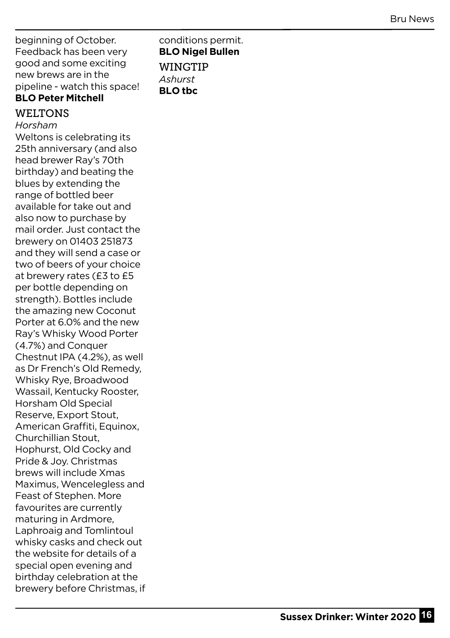beginning of October. Feedback has been very good and some exciting new brews are in the pipeline - watch this space! **BLO Peter Mitchell**

#### WELTONS

*Horsham* Weltons is celebrating its 25th anniversary (and also head brewer Ray's 70th birthday) and beating the blues by extending the range of bottled beer available for take out and also now to purchase by mail order. Just contact the brewery on 01403 251873 and they will send a case or two of beers of your choice at brewery rates (£3 to £5 per bottle depending on strength). Bottles include the amazing new Coconut Porter at 6.0% and the new Ray's Whisky Wood Porter (4.7%) and Conquer Chestnut IPA (4.2%), as well as Dr French's Old Remedy, Whisky Rye, Broadwood Wassail, Kentucky Rooster, Horsham Old Special Reserve, Export Stout, American Graffiti, Equinox, Churchillian Stout, Hophurst, Old Cocky and Pride & Joy. Christmas brews will include Xmas Maximus, Wencelegless and Feast of Stephen. More favourites are currently maturing in Ardmore, Laphroaig and Tomlintoul whisky casks and check out the website for details of a special open evening and birthday celebration at the brewery before Christmas, if conditions permit. **BLO Nigel Bullen** WINGTIP *Ashurst*  **BLO tbc**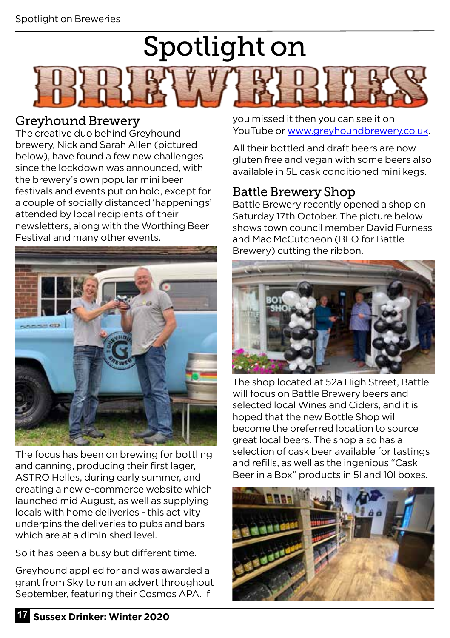# Spotlight on



### Greyhound Brewery

The creative duo behind Greyhound brewery, Nick and Sarah Allen (pictured below), have found a few new challenges since the lockdown was announced, with the brewery's own popular mini beer festivals and events put on hold, except for a couple of socially distanced 'happenings' attended by local recipients of their newsletters, along with the Worthing Beer Festival and many other events.



The focus has been on brewing for bottling and canning, producing their first lager, ASTRO Helles, during early summer, and creating a new e-commerce website which launched mid August, as well as supplying locals with home deliveries - this activity underpins the deliveries to pubs and bars which are at a diminished level.

So it has been a busy but different time.

Greyhound applied for and was awarded a grant from Sky to run an advert throughout September, featuring their Cosmos APA. If

you missed it then you can see it on YouTube or www.greyhoundbrewery.co.uk.

All their bottled and draft beers are now gluten free and vegan with some beers also available in 5L cask conditioned mini kegs.

# Battle Brewery Shop

Battle Brewery recently opened a shop on Saturday 17th October. The picture below shows town council member David Furness and Mac McCutcheon (BLO for Battle Brewery) cutting the ribbon.



The shop located at 52a High Street, Battle will focus on Battle Brewery beers and selected local Wines and Ciders, and it is hoped that the new Bottle Shop will become the preferred location to source great local beers. The shop also has a selection of cask beer available for tastings and refills, as well as the ingenious "Cask Beer in a Box" products in 5l and 10l boxes.

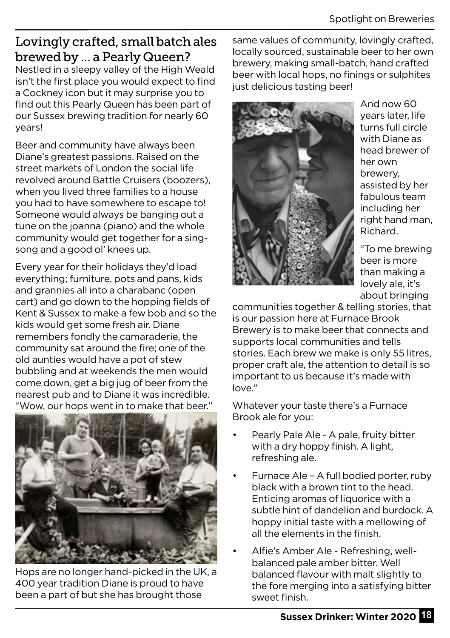# Lovingly crafted, small batch ales brewed by … a Pearly Queen?

Nestled in a sleepy valley of the High Weald isn't the first place you would expect to find a Cockney icon but it may surprise you to find out this Pearly Queen has been part of our Sussex brewing tradition for nearly 60 years!

Beer and community have always been Diane's greatest passions. Raised on the street markets of London the social life revolved around Battle Cruisers (boozers), when you lived three families to a house you had to have somewhere to escape to! Someone would always be banging out a tune on the joanna (piano) and the whole community would get together for a singsong and a good ol' knees up.

Every year for their holidays they'd load everything; furniture, pots and pans, kids and grannies all into a charabanc (open cart) and go down to the hopping fields of Kent & Sussex to make a few bob and so the kids would get some fresh air. Diane remembers fondly the camaraderie, the community sat around the fire; one of the old aunties would have a pot of stew bubbling and at weekends the men would come down, get a big jug of beer from the nearest pub and to Diane it was incredible. "Wow, our hops went in to make that beer."



Hops are no longer hand-picked in the UK, a 400 year tradition Diane is proud to have been a part of but she has brought those

same values of community, lovingly crafted, locally sourced, sustainable beer to her own brewery, making small-batch, hand crafted beer with local hops, no finings or sulphites just delicious tasting beer!



And now 60 years later, life turns full circle with Diane as head brewer of her own brewery, assisted by her fabulous team including her right hand man, Richard.

"To me brewing beer is more than making a lovely ale, it's about bringing

communities together & telling stories, that is our passion here at Furnace Brook Brewery is to make beer that connects and supports local communities and tells stories. Each brew we make is only 55 litres, proper craft ale, the attention to detail is so important to us because it's made with love."

Whatever your taste there's a Furnace Brook ale for you:

- Pearly Pale Ale A pale, fruity bitter with a dry hoppy finish. A light, refreshing ale.
- Furnace Ale A full bodied porter, ruby black with a brown tint to the head. Enticing aromas of liquorice with a subtle hint of dandelion and burdock. A hoppy initial taste with a mellowing of all the elements in the finish.
- Alfie's Amber Ale Refreshing, wellbalanced pale amber bitter. Well balanced flavour with malt slightly to the fore merging into a satisfying bitter sweet finish.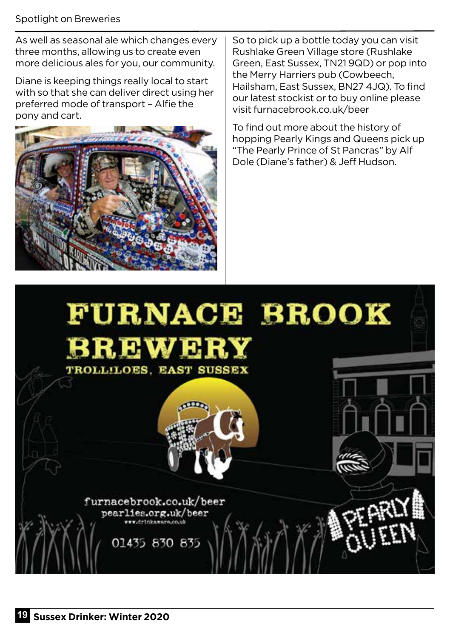#### Spotlight on Breweries

As well as seasonal ale which changes every three months, allowing us to create even more delicious ales for you, our community.

Diane is keeping things really local to start with so that she can deliver direct using her preferred mode of transport – Alfie the pony and cart.



So to pick up a bottle today you can visit Rushlake Green Village store (Rushlake Green, East Sussex, TN21 9QD) or pop into the Merry Harriers pub (Cowbeech, Hailsham, East Sussex, BN27 4JQ). To find our latest stockist or to buy online please visit furnacebrook.co.uk/beer

To find out more about the history of hopping Pearly Kings and Queens pick up "The Pearly Prince of St Pancras" by Alf Dole (Diane's father) & Jeff Hudson.

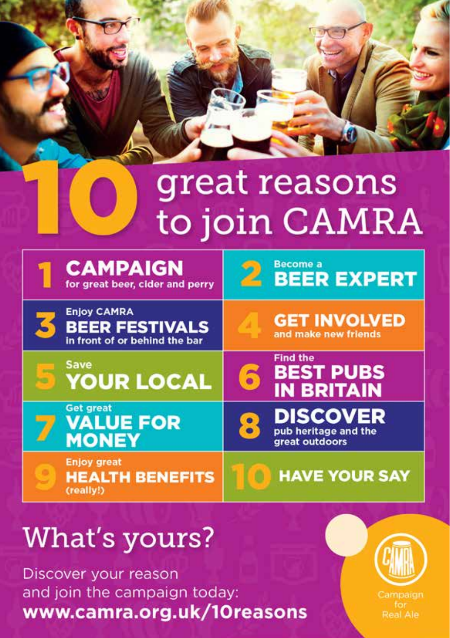# great reasons to join CAMRA

| <b>CAMPAIGN</b><br>for great beer, cider and perry                           | <b>Become a</b><br><b>BEER EXPERT</b>                         |
|------------------------------------------------------------------------------|---------------------------------------------------------------|
| <b>Enjoy CAMRA</b><br><b>BEER FESTIVALS</b><br>in front of or behind the bar | <b>GET INVOLVED</b><br>and make new friends                   |
| <b>Save</b><br><b>YOUR LOCAL</b>                                             | <b>Find the</b><br><b>BEST PUBS</b><br>ີ<br><b>IN BRITAIN</b> |
| <b>Get great</b><br><b>VALUE FOR</b><br><b>MONEY</b>                         | <b>DISCOVER</b><br>pub heritage and the<br>great outdoors     |
| <b>Enjoy great</b><br><b>HEALTH BENEFITS</b><br>(really!)                    | <b>HAVE YOUR SAY</b>                                          |

# **What's yours?**

Discover your reason and join the campaign today: www.camra.org.uk/10reasons



Campaign Real Ale